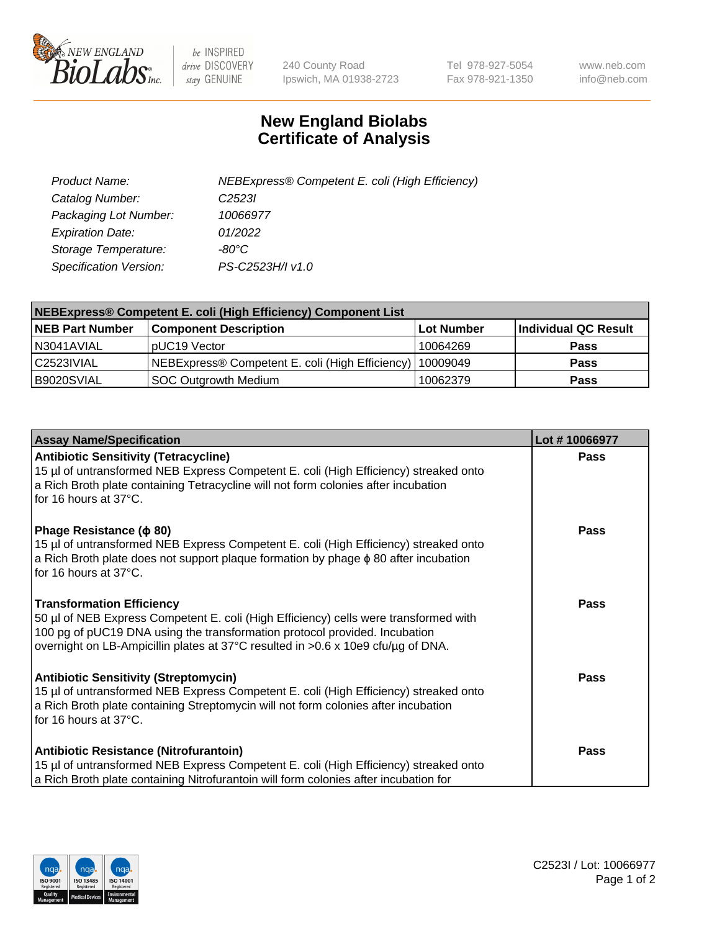

 $be$  INSPIRED drive DISCOVERY stay GENUINE

240 County Road Ipswich, MA 01938-2723 Tel 978-927-5054 Fax 978-921-1350 www.neb.com info@neb.com

## **New England Biolabs Certificate of Analysis**

| Product Name:                 | NEBExpress® Competent E. coli (High Efficiency) |
|-------------------------------|-------------------------------------------------|
| Catalog Number:               | C <sub>2523</sub>                               |
| Packaging Lot Number:         | 10066977                                        |
| <b>Expiration Date:</b>       | 01/2022                                         |
| Storage Temperature:          | -80°C                                           |
| <b>Specification Version:</b> | PS-C2523H/I v1.0                                |

| <b>NEBExpress® Competent E. coli (High Efficiency) Component List</b> |                                                 |            |                      |  |
|-----------------------------------------------------------------------|-------------------------------------------------|------------|----------------------|--|
| <b>NEB Part Number</b>                                                | <b>Component Description</b>                    | Lot Number | Individual QC Result |  |
| N3041AVIAL                                                            | pUC19 Vector                                    | 10064269   | <b>Pass</b>          |  |
| C2523IVIAL                                                            | NEBExpress® Competent E. coli (High Efficiency) | 10009049   | <b>Pass</b>          |  |
| B9020SVIAL                                                            | <b>SOC Outgrowth Medium</b>                     | 10062379   | <b>Pass</b>          |  |

| <b>Assay Name/Specification</b>                                                                                                                                                                                                                                                            | Lot #10066977 |
|--------------------------------------------------------------------------------------------------------------------------------------------------------------------------------------------------------------------------------------------------------------------------------------------|---------------|
| <b>Antibiotic Sensitivity (Tetracycline)</b><br>15 µl of untransformed NEB Express Competent E. coli (High Efficiency) streaked onto<br>a Rich Broth plate containing Tetracycline will not form colonies after incubation<br>for 16 hours at 37°C.                                        | <b>Pass</b>   |
| Phage Resistance ( $\phi$ 80)<br>15 µl of untransformed NEB Express Competent E. coli (High Efficiency) streaked onto<br>a Rich Broth plate does not support plaque formation by phage $\phi$ 80 after incubation<br>for 16 hours at 37°C.                                                 | Pass          |
| <b>Transformation Efficiency</b><br>50 µl of NEB Express Competent E. coli (High Efficiency) cells were transformed with<br>100 pg of pUC19 DNA using the transformation protocol provided. Incubation<br>overnight on LB-Ampicillin plates at 37°C resulted in >0.6 x 10e9 cfu/µg of DNA. | <b>Pass</b>   |
| <b>Antibiotic Sensitivity (Streptomycin)</b><br>15 µl of untransformed NEB Express Competent E. coli (High Efficiency) streaked onto<br>a Rich Broth plate containing Streptomycin will not form colonies after incubation<br>for 16 hours at 37°C.                                        | <b>Pass</b>   |
| Antibiotic Resistance (Nitrofurantoin)<br>15 µl of untransformed NEB Express Competent E. coli (High Efficiency) streaked onto<br>a Rich Broth plate containing Nitrofurantoin will form colonies after incubation for                                                                     | Pass          |